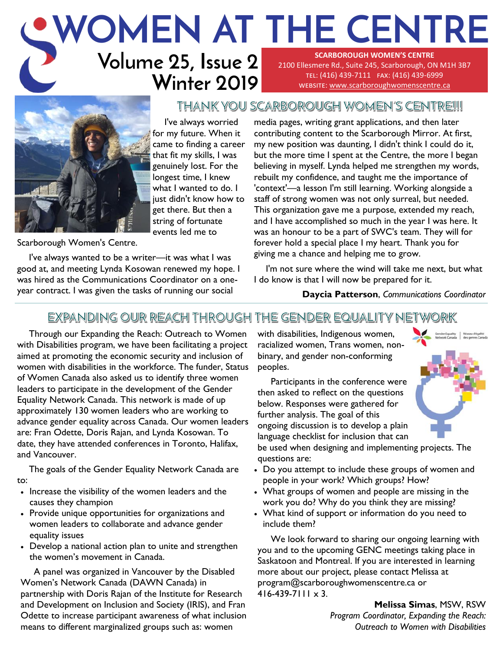### **Volume 25, Issue 2 Winter 2019 WOMEN AT THE CENTRE SCARBOROUGH WOMEN'S CENTRE**  2100 Ellesmere Rd., Suite 245, Scarborough, ON M1H 3B7 tel: (416) 439-7111 fax: (416) 439-6999 website: [www.scarboroughwomenscentre.ca](http://www.scarboroughwomenscentre.ca)



I've always worried for my future. When it came to finding a career that fit my skills, I was genuinely lost. For the longest time, I knew what I wanted to do. I just didn't know how to get there. But then a string of fortunate events led me to

Scarborough Women's Centre.

I've always wanted to be a writer—it was what I was good at, and meeting Lynda Kosowan renewed my hope. I was hired as the Communications Coordinator on a oneyear contract. I was given the tasks of running our social

media pages, writing grant applications, and then later contributing content to the Scarborough Mirror. At first, my new position was daunting, I didn't think I could do it, but the more time I spent at the Centre, the more I began believing in myself. Lynda helped me strengthen my words, rebuilt my confidence, and taught me the importance of 'context'—a lesson I'm still learning. Working alongside a staff of strong women was not only surreal, but needed. This organization gave me a purpose, extended my reach, and I have accomplished so much in the year I was here. It was an honour to be a part of SWC's team. They will for forever hold a special place I my heart. Thank you for giving me a chance and helping me to grow.

I'm not sure where the wind will take me next, but what I do know is that I will now be prepared for it.

**Daycia Patterson**, *Communications Coordinator*

### EXPANDING OUR REACH THROUGH THE GENDER EQUALITY NETWORK

Through our Expanding the Reach: Outreach to Women with Disabilities program, we have been facilitating a project aimed at promoting the economic security and inclusion of women with disabilities in the workforce. The funder, Status of Women Canada also asked us to identify three women leaders to participate in the development of the Gender Equality Network Canada. This network is made of up approximately 130 women leaders who are working to advance gender equality across Canada. Our women leaders are: Fran Odette, Doris Rajan, and Lynda Kosowan. To date, they have attended conferences in Toronto, Halifax, and Vancouver.

The goals of the Gender Equality Network Canada are to:

- Increase the visibility of the women leaders and the causes they champion
- Provide unique opportunities for organizations and women leaders to collaborate and advance gender equality issues
- Develop a national action plan to unite and strengthen the women's movement in Canada.

 A panel was organized in Vancouver by the Disabled Women's Network Canada (DAWN Canada) in partnership with Doris Rajan of the Institute for Research and Development on Inclusion and Society (IRIS), and Fran Odette to increase participant awareness of what inclusion means to different marginalized groups such as: women

with disabilities, Indigenous women, racialized women, Trans women, nonbinary, and gender non-conforming peoples.

THANK YOU SCARBOROUGH WOMEN'S CENTRE!!!

 Participants in the conference were then asked to reflect on the questions below. Responses were gathered for further analysis. The goal of this ongoing discussion is to develop a plain language checklist for inclusion that can

be used when designing and implementing projects. The questions are:

- Do you attempt to include these groups of women and people in your work? Which groups? How?
- What groups of women and people are missing in the work you do? Why do you think they are missing?
- What kind of support or information do you need to include them?

 We look forward to sharing our ongoing learning with you and to the upcoming GENC meetings taking place in Saskatoon and Montreal. If you are interested in learning more about our project, please contact Melissa at program@scarboroughwomenscentre.ca or  $416 - 439 - 7111 \times 3$ .

> **Melissa Simas**, MSW, RSW *Program Coordinator, Expanding the Reach: Outreach to Women with Disabilities*

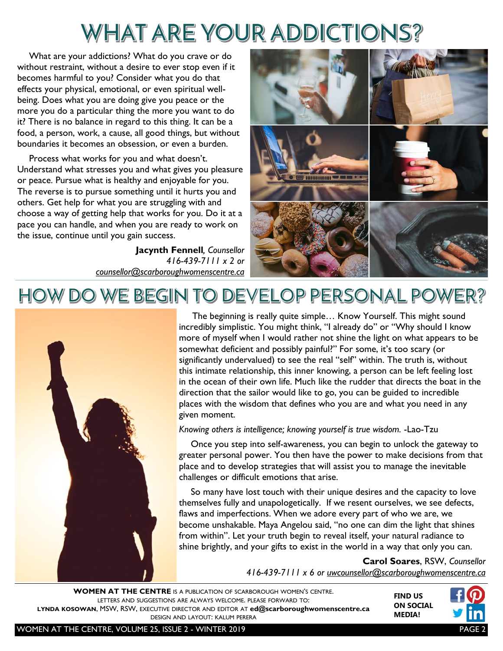# WHAT ARE YOUR ADDICTIONS?

What are your addictions? What do you crave or do without restraint, without a desire to ever stop even if it becomes harmful to you? Consider what you do that effects your physical, emotional, or even spiritual wellbeing. Does what you are doing give you peace or the more you do a particular thing the more you want to do it? There is no balance in regard to this thing. It can be a food, a person, work, a cause, all good things, but without boundaries it becomes an obsession, or even a burden.

Process what works for you and what doesn't. Understand what stresses you and what gives you pleasure or peace. Pursue what is healthy and enjoyable for you. The reverse is to pursue something until it hurts you and others. Get help for what you are struggling with and choose a way of getting help that works for you. Do it at a pace you can handle, and when you are ready to work on the issue, continue until you gain success.

> **Jacynth Fennell***, Counsellor 416-439-7111 x 2 or [counsellor@scarboroughwomenscentre.ca](mailto:counsellor@scarboroughwomenscentre.ca?subject=Counselling)*



# HOW DO WE BEGIN TO DEVELOP PERSONAL POWER?



 The beginning is really quite simple… Know Yourself. This might sound incredibly simplistic. You might think, "I already do" or "Why should I know more of myself when I would rather not shine the light on what appears to be somewhat deficient and possibly painful?" For some, it's too scary (or significantly undervalued) to see the real "self" within. The truth is, without this intimate relationship, this inner knowing, a person can be left feeling lost in the ocean of their own life. Much like the rudder that directs the boat in the direction that the sailor would like to go, you can be guided to incredible places with the wisdom that defines who you are and what you need in any given moment.

#### *Knowing others is intelligence; knowing yourself is true wisdom.* -Lao-Tzu

Once you step into self-awareness, you can begin to unlock the gateway to greater personal power. You then have the power to make decisions from that place and to develop strategies that will assist you to manage the inevitable challenges or difficult emotions that arise.

So many have lost touch with their unique desires and the capacity to love themselves fully and unapologetically. If we resent ourselves, we see defects, flaws and imperfections. When we adore every part of who we are, we become unshakable. Maya Angelou said, "no one can dim the light that shines from within". Let your truth begin to reveal itself, your natural radiance to shine brightly, and your gifts to exist in the world in a way that only you can.

> **Carol Soares**, RSW, *Counsellor 416-439-7111 x 6 or [uwcounsellor@scarboroughwomenscentre.ca](mailto:counsellor@scarboroughwomenscentre.ca?subject=Counselling)*

**WOMEN AT THE CENTRE** IS A PUBLICATION OF SCARBOROUGH WOMEN'S CENTRE. LETTERS AND SUGGESTIONS ARE ALWAYS WELCOME. PLEASE FORWARD TO: **LYNDA KOSOWAN**, MSW, RSW, EXECUTIVE DIRECTOR AND EDITOR AT **[ed@scarboroughwomenscentre.ca](mailto:ed@scarboroughwomenscentre.ca)**  DESIGN AND LAYOUT: KALUM PERERA



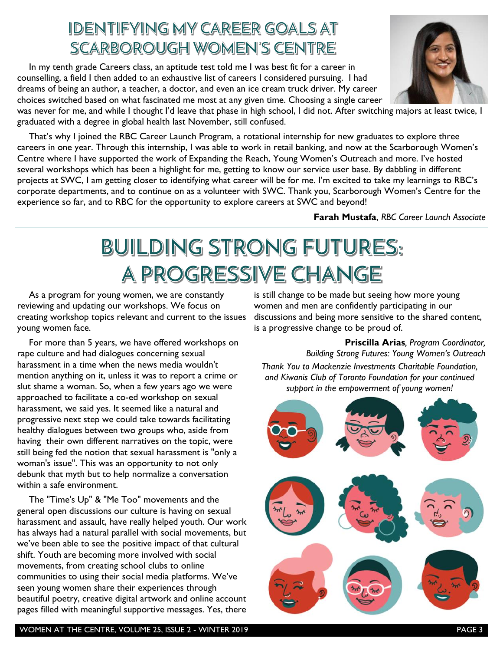## IDENTIFYING MY CAREER GOALS AT SCARBOROUGH WOMEN'S CENTRE

In my tenth grade Careers class, an aptitude test told me I was best fit for a career in counselling, a field I then added to an exhaustive list of careers I considered pursuing. I had dreams of being an author, a teacher, a doctor, and even an ice cream truck driver. My career choices switched based on what fascinated me most at any given time. Choosing a single career

was never for me, and while I thought I'd leave that phase in high school, I did not. After switching majors at least twice, I graduated with a degree in global health last November, still confused.

That's why I joined the RBC Career Launch Program, a rotational internship for new graduates to explore three careers in one year. Through this internship, I was able to work in retail banking, and now at the Scarborough Women's Centre where I have supported the work of Expanding the Reach, Young Women's Outreach and more. I've hosted several workshops which has been a highlight for me, getting to know our service user base. By dabbling in different projects at SWC, I am getting closer to identifying what career will be for me. I'm excited to take my learnings to RBC's corporate departments, and to continue on as a volunteer with SWC. Thank you, Scarborough Women's Centre for the experience so far, and to RBC for the opportunity to explore careers at SWC and beyond!

**Farah Mustafa**, *RBC Career Launch Associate*

**Priscilla Arias***, Program Coordinator,* 

*Building Strong Futures: Young Women's Outreach*

is still change to be made but seeing how more young women and men are confidently participating in our

is a progressive change to be proud of.

discussions and being more sensitive to the shared content,

*Thank You to Mackenzie Investments Charitable Foundation, and Kiwanis Club of Toronto Foundation for your continued support in the empowerment of young women!*

# **BUILDING STRONG FUTURES:** A PROGRESSIVE CHANGE

As a program for young women, we are constantly reviewing and updating our workshops. We focus on creating workshop topics relevant and current to the issues young women face.

For more than 5 years, we have offered workshops on rape culture and had dialogues concerning sexual harassment in a time when the news media wouldn't mention anything on it, unless it was to report a crime or slut shame a woman. So, when a few years ago we were approached to facilitate a co-ed workshop on sexual harassment, we said yes. It seemed like a natural and progressive next step we could take towards facilitating healthy dialogues between two groups who, aside from having their own different narratives on the topic, were still being fed the notion that sexual harassment is "only a woman's issue". This was an opportunity to not only debunk that myth but to help normalize a conversation within a safe environment.

The "Time's Up" & "Me Too" movements and the general open discussions our culture is having on sexual harassment and assault, have really helped youth. Our work has always had a natural parallel with social movements, but we've been able to see the positive impact of that cultural shift. Youth are becoming more involved with social movements, from creating school clubs to online communities to using their social media platforms. We've seen young women share their experiences through beautiful poetry, creative digital artwork and online account pages filled with meaningful supportive messages. Yes, there



WOMEN AT THE CENTRE, VOLUME 25, ISSUE 2 - WINTER 2019 **PAGE 3**